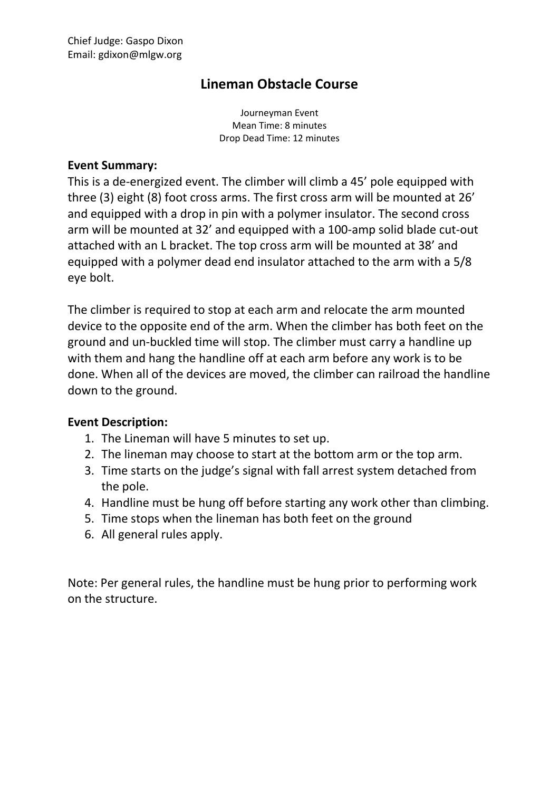## **Lineman Obstacle Course**

Journeyman Event Mean Time: 8 minutes Drop Dead Time: 12 minutes

## **Event Summary:**

This is a de-energized event. The climber will climb a 45' pole equipped with three (3) eight (8) foot cross arms. The first cross arm will be mounted at 26' and equipped with a drop in pin with a polymer insulator. The second cross arm will be mounted at 32' and equipped with a 100-amp solid blade cut-out attached with an L bracket. The top cross arm will be mounted at 38' and equipped with a polymer dead end insulator attached to the arm with a 5/8 eye bolt.

The climber is required to stop at each arm and relocate the arm mounted device to the opposite end of the arm. When the climber has both feet on the ground and un-buckled time will stop. The climber must carry a handline up with them and hang the handline off at each arm before any work is to be done. When all of the devices are moved, the climber can railroad the handline down to the ground.

## **Event Description:**

- 1. The Lineman will have 5 minutes to set up.
- 2. The lineman may choose to start at the bottom arm or the top arm.
- 3. Time starts on the judge's signal with fall arrest system detached from the pole.
- 4. Handline must be hung off before starting any work other than climbing.
- 5. Time stops when the lineman has both feet on the ground
- 6. All general rules apply.

Note: Per general rules, the handline must be hung prior to performing work on the structure.